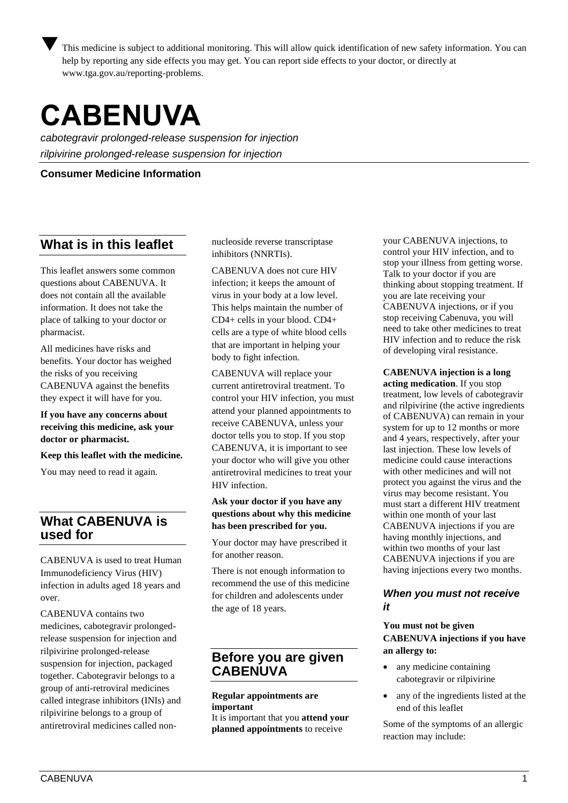This medicine is subject to additional monitoring. This will allow quick identification of new safety information. You can help by reporting any side effects you may get. You can report side effects to your doctor, or directly at [www.tga.gov.au/reporting-problems.](http://www.tga.gov.au/reporting-problems)

# **CABENUVA**

*cabotegravir prolonged-release suspension for injection rilpivirine prolonged-release suspension for injection*

**Consumer Medicine Information**

# **What is in this leaflet**

This leaflet answers some common questions about CABENUVA. It does not contain all the available information. It does not take the place of talking to your doctor or pharmacist.

All medicines have risks and benefits. Your doctor has weighed the risks of you receiving CABENUVA against the benefits they expect it will have for you.

**If you have any concerns about receiving this medicine, ask your doctor or pharmacist.** 

**Keep this leaflet with the medicine.** 

You may need to read it again.

# **What CABENUVA is used for**

CABENUVA is used to treat Human Immunodeficiency Virus (HIV) infection in adults aged 18 years and over.

CABENUVA contains two medicines, cabotegravir prolongedrelease suspension for injection and rilpivirine prolonged-release suspension for injection, packaged together. Cabotegravir belongs to a group of anti-retroviral medicines called integrase inhibitors (INIs) and rilpivirine belongs to a group of antiretroviral medicines called nonnucleoside reverse transcriptase inhibitors (NNRTIs).

CABENUVA does not cure HIV infection; it keeps the amount of virus in your body at a low level. This helps maintain the number of CD4+ cells in your blood. CD4+ cells are a type of white blood cells that are important in helping your body to fight infection.

CABENUVA will replace your current antiretroviral treatment. To control your HIV infection, you must attend your planned appointments to receive CABENUVA, unless your doctor tells you to stop. If you stop CABENUVA, it is important to see your doctor who will give you other antiretroviral medicines to treat your HIV infection.

## **Ask your doctor if you have any questions about why this medicine has been prescribed for you.**

Your doctor may have prescribed it for another reason.

There is not enough information to recommend the use of this medicine for children and adolescents under the age of 18 years.

# **Before you are given CABENUVA**

#### **Regular appointments are important**

It is important that you **attend your planned appointments** to receive

your CABENUVA injections, to control your HIV infection, and to stop your illness from getting worse. Talk to your doctor if you are thinking about stopping treatment. If you are late receiving your CABENUVA injections, or if you stop receiving Cabenuva, you will need to take other medicines to treat HIV infection and to reduce the risk of developing viral resistance.

**CABENUVA injection is a long acting medication**. If you stop treatment, low levels of cabotegravir and rilpivirine (the active ingredients of CABENUVA) can remain in your system for up to 12 months or more and 4 years, respectively, after your last injection. These low levels of medicine could cause interactions with other medicines and will not protect you against the virus and the virus may become resistant. You must start a different HIV treatment within one month of your last CABENUVA injections if you are having monthly injections, and within two months of your last CABENUVA injections if you are having injections every two months.

#### *When you must not receive it*

#### **You must not be given CABENUVA injections if you have an allergy to:**

- any medicine containing cabotegravir or rilpivirine
- any of the ingredients listed at the end of this leaflet

Some of the symptoms of an allergic reaction may include: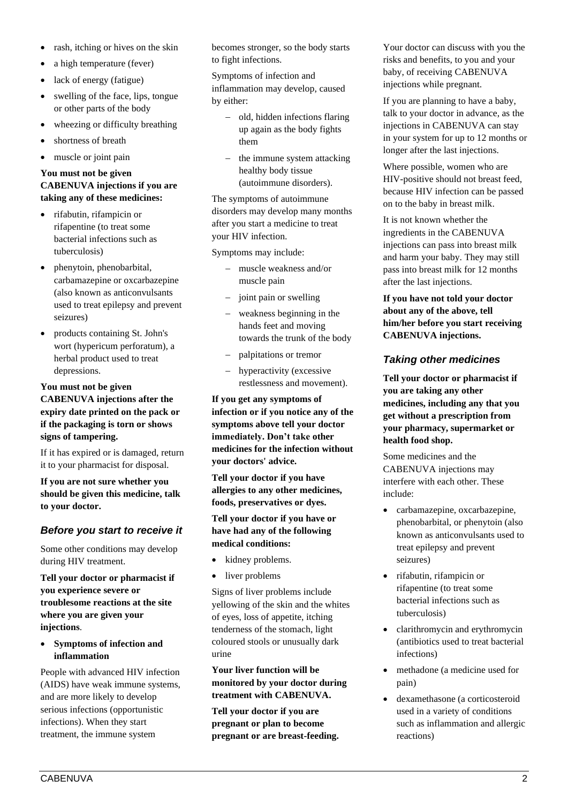- rash, itching or hives on the skin
- a high temperature (fever)
- lack of energy (fatigue)
- swelling of the face, lips, tongue or other parts of the body
- wheezing or difficulty breathing
- shortness of breath
- muscle or joint pain

#### **You must not be given CABENUVA injections if you are taking any of these medicines:**

- rifabutin, rifampicin or rifapentine (to treat some bacterial infections such as tuberculosis)
- phenytoin, phenobarbital, carbamazepine or oxcarbazepine (also known as anticonvulsants used to treat epilepsy and prevent seizures)
- products containing St. John's wort (hypericum perforatum), a herbal product used to treat depressions.

#### **You must not be given CABENUVA injections after the expiry date printed on the pack or if the packaging is torn or shows signs of tampering.**

If it has expired or is damaged, return it to your pharmacist for disposal.

**If you are not sure whether you should be given this medicine, talk to your doctor.** 

# *Before you start to receive it*

Some other conditions may develop during HIV treatment.

**Tell your doctor or pharmacist if you experience severe or troublesome reactions at the site where you are given your injections**.

• **Symptoms of infection and inflammation**

People with advanced HIV infection (AIDS) have weak immune systems, and are more likely to develop serious infections (opportunistic infections). When they start treatment, the immune system

becomes stronger, so the body starts to fight infections.

Symptoms of infection and inflammation may develop, caused by either:

- − old, hidden infections flaring up again as the body fights them
- − the immune system attacking healthy body tissue (autoimmune disorders).

The symptoms of autoimmune disorders may develop many months after you start a medicine to treat your HIV infection.

Symptoms may include:

- − muscle weakness and/or muscle pain
- − joint pain or swelling
- − weakness beginning in the hands feet and moving towards the trunk of the body
- − palpitations or tremor
- − hyperactivity (excessive restlessness and movement).

**If you get any symptoms of infection or if you notice any of the symptoms above tell your doctor immediately. Don't take other medicines for the infection without your doctors' advice.**

**Tell your doctor if you have allergies to any other medicines, foods, preservatives or dyes.** 

#### **Tell your doctor if you have or have had any of the following medical conditions:**

- kidney problems.
- liver problems

Signs of liver problems include yellowing of the skin and the whites of eyes, loss of appetite, itching tenderness of the stomach, light coloured stools or unusually dark urine

#### **Your liver function will be monitored by your doctor during treatment with CABENUVA.**

**Tell your doctor if you are pregnant or plan to become pregnant or are breast-feeding.**  Your doctor can discuss with you the risks and benefits, to you and your baby, of receiving CABENUVA injections while pregnant.

If you are planning to have a baby, talk to your doctor in advance, as the injections in CABENUVA can stay in your system for up to 12 months or longer after the last injections.

Where possible, women who are HIV-positive should not breast feed, because HIV infection can be passed on to the baby in breast milk.

It is not known whether the ingredients in the CABENUVA injections can pass into breast milk and harm your baby. They may still pass into breast milk for 12 months after the last injections.

**If you have not told your doctor about any of the above, tell him/her before you start receiving CABENUVA injections.** 

# *Taking other medicines*

**Tell your doctor or pharmacist if you are taking any other medicines, including any that you get without a prescription from your pharmacy, supermarket or health food shop.** 

Some medicines and the CABENUVA injections may interfere with each other. These include:

- carbamazepine, oxcarbazepine, phenobarbital, or phenytoin (also known as anticonvulsants used to treat epilepsy and prevent seizures)
- rifabutin, rifampicin or rifapentine (to treat some bacterial infections such as tuberculosis)
- clarithromycin and erythromycin (antibiotics used to treat bacterial infections)
- methadone (a medicine used for pain)
- dexamethasone (a corticosteroid used in a variety of conditions such as inflammation and allergic reactions)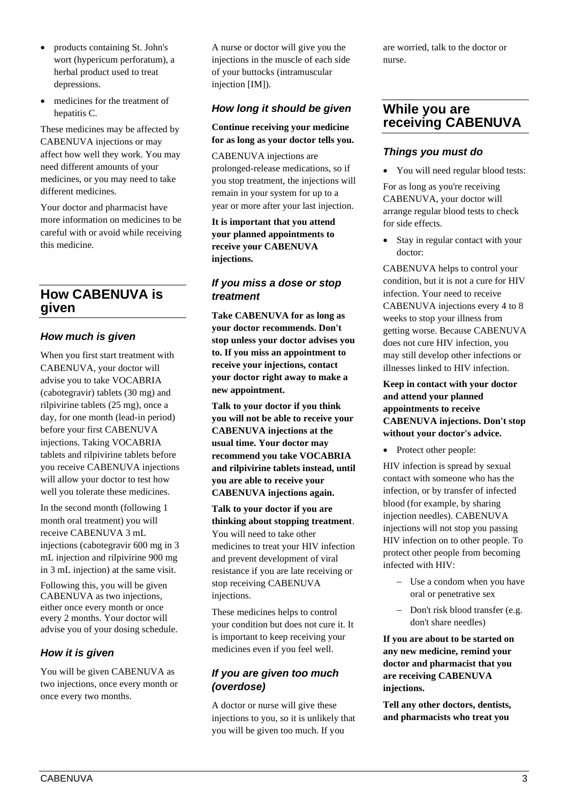- products containing St. John's wort (hypericum perforatum), a herbal product used to treat depressions.
- medicines for the treatment of hepatitis C.

These medicines may be affected by CABENUVA injections or may affect how well they work. You may need different amounts of your medicines, or you may need to take different medicines.

Your doctor and pharmacist have more information on medicines to be careful with or avoid while receiving this medicine.

# **How CABENUVA is given**

# *How much is given*

When you first start treatment with CABENUVA, your doctor will advise you to take VOCABRIA (cabotegravir) tablets (30 mg) and rilpivirine tablets (25 mg), once a day, for one month (lead-in period) before your first CABENUVA injections. Taking VOCABRIA tablets and rilpivirine tablets before you receive CABENUVA injections will allow your doctor to test how well you tolerate these medicines.

In the second month (following 1 month oral treatment) you will receive CABENUVA 3 mL injections (cabotegravir 600 mg in 3 mL injection and rilpivirine 900 mg in 3 mL injection) at the same visit.

Following this, you will be given CABENUVA as two injections, either once every month or once every 2 months. Your doctor will advise you of your dosing schedule.

# *How it is given*

You will be given CABENUVA as two injections, once every month or once every two months.

A nurse or doctor will give you the injections in the muscle of each side of your buttocks (intramuscular injection [IM]).

# *How long it should be given*

#### **Continue receiving your medicine for as long as your doctor tells you.**

CABENUVA injections are prolonged-release medications, so if you stop treatment, the injections will remain in your system for up to a year or more after your last injection.

**It is important that you attend your planned appointments to receive your CABENUVA injections.**

# *If you miss a dose or stop treatment*

**Take CABENUVA for as long as your doctor recommends. Don't stop unless your doctor advises you to. If you miss an appointment to receive your injections, contact your doctor right away to make a new appointment.**

**Talk to your doctor if you think you will not be able to receive your CABENUVA injections at the usual time. Your doctor may recommend you take VOCABRIA and rilpivirine tablets instead, until you are able to receive your CABENUVA injections again.** 

**Talk to your doctor if you are thinking about stopping treatment**. You will need to take other medicines to treat your HIV infection and prevent development of viral resistance if you are late receiving or stop receiving CABENUVA injections.

These medicines helps to control your condition but does not cure it. It is important to keep receiving your medicines even if you feel well.

# *If you are given too much (overdose)*

A doctor or nurse will give these injections to you, so it is unlikely that you will be given too much. If you

are worried, talk to the doctor or nurse.

# **While you are receiving CABENUVA**

# *Things you must do*

• You will need regular blood tests:

For as long as you're receiving CABENUVA, your doctor will arrange regular blood tests to check for side effects.

• Stay in regular contact with your doctor:

CABENUVA helps to control your condition, but it is not a cure for HIV infection. Your need to receive CABENUVA injections every 4 to 8 weeks to stop your illness from getting worse. Because CABENUVA does not cure HIV infection, you may still develop other infections or illnesses linked to HIV infection.

#### **Keep in contact with your doctor and attend your planned appointments to receive CABENUVA injections. Don't stop without your doctor's advice.**

• Protect other people:

HIV infection is spread by sexual contact with someone who has the infection, or by transfer of infected blood (for example, by sharing injection needles). CABENUVA injections will not stop you passing HIV infection on to other people. To protect other people from becoming infected with HIV:

- − Use a condom when you have oral or penetrative sex
- − Don't risk blood transfer (e.g. don't share needles)

**If you are about to be started on any new medicine, remind your doctor and pharmacist that you are receiving CABENUVA injections.** 

**Tell any other doctors, dentists, and pharmacists who treat you**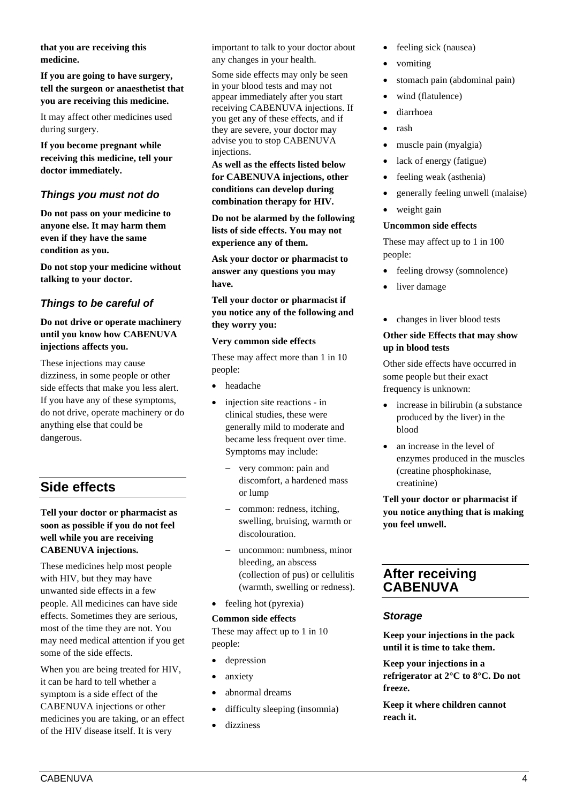**that you are receiving this medicine.** 

**If you are going to have surgery, tell the surgeon or anaesthetist that you are receiving this medicine.** 

It may affect other medicines used during surgery.

**If you become pregnant while receiving this medicine, tell your doctor immediately.** 

# *Things you must not do*

**Do not pass on your medicine to anyone else. It may harm them even if they have the same condition as you.** 

**Do not stop your medicine without talking to your doctor.** 

# *Things to be careful of*

## **Do not drive or operate machinery until you know how CABENUVA injections affects you.**

These injections may cause dizziness, in some people or other side effects that make you less alert. If you have any of these symptoms, do not drive, operate machinery or do anything else that could be dangerous.

# **Side effects**

## **Tell your doctor or pharmacist as soon as possible if you do not feel well while you are receiving CABENUVA injections.**

These medicines help most people with HIV, but they may have unwanted side effects in a few people. All medicines can have side effects. Sometimes they are serious, most of the time they are not. You may need medical attention if you get some of the side effects.

When you are being treated for HIV, it can be hard to tell whether a symptom is a side effect of the CABENUVA injections or other medicines you are taking, or an effect of the HIV disease itself. It is very

important to talk to your doctor about any changes in your health.

Some side effects may only be seen in your blood tests and may not appear immediately after you start receiving CABENUVA injections. If you get any of these effects, and if they are severe, your doctor may advise you to stop CABENUVA injections.

**As well as the effects listed below for CABENUVA injections, other conditions can develop during combination therapy for HIV.**

**Do not be alarmed by the following lists of side effects. You may not experience any of them.** 

**Ask your doctor or pharmacist to answer any questions you may have.** 

**Tell your doctor or pharmacist if you notice any of the following and they worry you:** 

#### **Very common side effects**

These may affect more than 1 in 10 people:

- headache
- injection site reactions in clinical studies, these were generally mild to moderate and became less frequent over time. Symptoms may include:
	- very common: pain and discomfort, a hardened mass or lump
	- − common: redness, itching, swelling, bruising, warmth or discolouration.
	- − uncommon: numbness, minor bleeding, an abscess (collection of pus) or cellulitis (warmth, swelling or redness).
- feeling hot (pyrexia)

#### **Common side effects**

These may affect up to 1 in 10 people:

- depression
- anxiety
- abnormal dreams
- difficulty sleeping (insomnia)
- dizziness
- feeling sick (nausea)
- vomiting
- stomach pain (abdominal pain)
- wind (flatulence)
- diarrhoea
- rash
- muscle pain (myalgia)
- lack of energy (fatigue)
- feeling weak (asthenia)
- generally feeling unwell (malaise)
- weight gain

#### **Uncommon side effects**

These may affect up to 1 in 100 people:

- feeling drowsy (somnolence)
- liver damage
- changes in liver blood tests

#### **Other side Effects that may show up in blood tests**

Other side effects have occurred in some people but their exact frequency is unknown:

- increase in bilirubin (a substance produced by the liver) in the blood
- an increase in the level of enzymes produced in the muscles (creatine phosphokinase, creatinine)

## **Tell your doctor or pharmacist if you notice anything that is making you feel unwell.**

# **After receiving CABENUVA**

## *Storage*

**Keep your injections in the pack until it is time to take them.** 

**Keep your injections in a refrigerator at 2°C to 8°C. Do not freeze.**

**Keep it where children cannot reach it.**